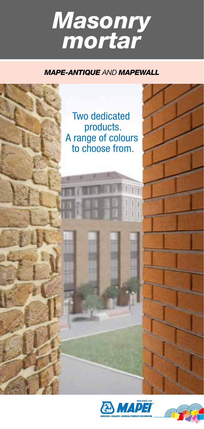# *Masonry mortar*

#### *MAPE-ANTIQUE* AND *MAPEWALL*





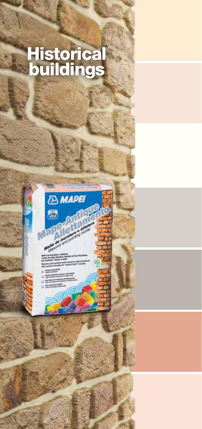### **Historical** buildings

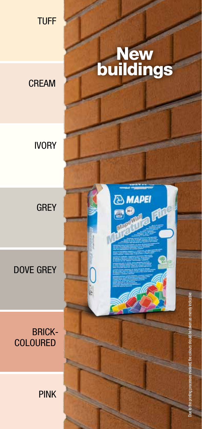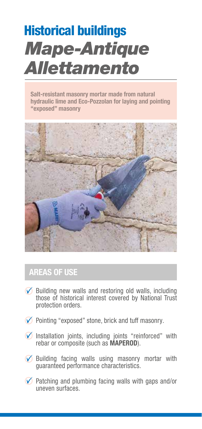## Mape-Antique Allettamento Historical buildings

Salt-resistant masonry mortar made from natural hydraulic lime and Eco-Pozzolan for laying and pointing "exposed" masonry



### AREAS OF USE

- $\oslash$  Building new walls and restoring old walls, including those of historical interest covered by National Trust protection orders.
- $\vee$  Pointing "exposed" stone, brick and tuff masonry.
- $\heartsuit$  Installation joints, including joints "reinforced" with rebar or composite (such as MAPEROD).
- $\oslash$  Building facing walls using masonry mortar with guaranteed performance characteristics.
- $\vee$  Patching and plumbing facing walls with gaps and/or uneven surfaces.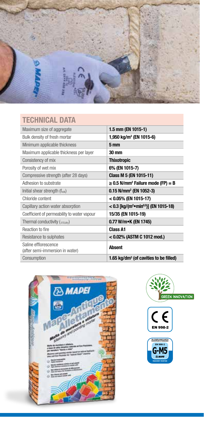

### TECHNICAL DATA

| Maximum size of aggregate                                 | 1.5 mm (EN 1015-1)                                              |
|-----------------------------------------------------------|-----------------------------------------------------------------|
| Bulk density of fresh mortar                              | 1,950 kg/m <sup>3</sup> (EN 1015-6)                             |
| Minimum applicable thickness                              | 5 <sub>mm</sub>                                                 |
| Maximum applicable thickness per layer                    | 30 mm                                                           |
| Consistency of mix                                        | <b>Thixotropic</b>                                              |
| Porosity of wet mix                                       | 6% (EN 1015-7)                                                  |
| Compressive strength (after 28 days)                      | Class M 5 (EN 1015-11)                                          |
| Adhesion to substrate                                     | $\geq$ 0.5 N/mm <sup>2</sup> Failure mode (FP) = B              |
| Initial shear strength (f <sub>vok</sub> )                | 0.15 N/mm <sup>2</sup> (EN 1052-3)                              |
| Chloride content                                          | < 0.05% (EN 1015-17)                                            |
| Capillary action water absorption                         | $< 0.3$ [kg/(m <sup>2</sup> •min <sup>0,5</sup> )] (EN 1015-18) |
| Coefficient of permeability to water vapour               | 15/35 (EN 1015-19)                                              |
| Thermal conductivity $({}_{\lambda10.0}$ <sub>N</sub> $)$ | 0.77 W/m•K (EN 1745)                                            |
| Reaction to fire                                          | <b>Class A1</b>                                                 |
| Resistance to sulphates                                   | < 0.02% (ASTM C 1012 mod.)                                      |
| Saline efflorescence<br>(after semi-immersion in water)   | <b>Absent</b>                                                   |
| Consumption                                               | 1.65 kg/dm <sup>3</sup> (of cavities to be filled)              |







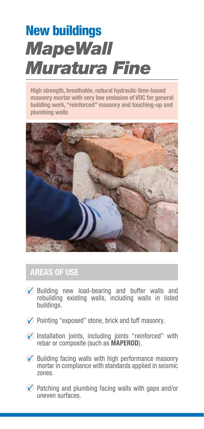## **MapeWall** Muratura Fine New buildings

High strength, breathable, natural hydraulic lime-based masonry mortar with very low emission of VOC for general building work, "reinforced" masonry and touching-up and plumbing walls



#### AREAS OF USE

- Building new load-bearing and buffer walls and rebuilding existing walls, including walls in listed buildings.
- $\oslash$  Pointing "exposed" stone, brick and tuff masonry.
- $\oslash$  Installation joints, including joints "reinforced" with rebar or composite (such as MAPEROD).
- $\oslash$  Building facing walls with high performance masonry mortar in compliance with standards applied in seismic zones.
- $\vee$  Patching and plumbing facing walls with gaps and/or uneven surfaces.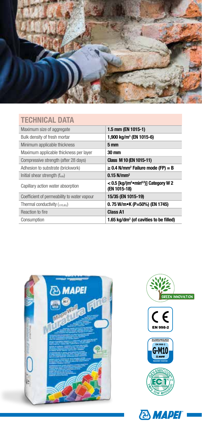

#### TECHNICAL DATA

| Maximum size of aggregate                               | 1.5 mm (EN 1015-1)                                                              |
|---------------------------------------------------------|---------------------------------------------------------------------------------|
| Bulk density of fresh mortar                            | 1,900 kg/m <sup>3</sup> (EN 1015-6)                                             |
| Minimum applicable thickness                            | 5 mm                                                                            |
| Maximum applicable thickness per layer                  | 30 mm                                                                           |
| Compressive strength (after 28 days)                    | Class M 10 (EN 1015-11)                                                         |
| Adhesion to substrate (brickwork)                       | $\geq$ 0.4 N/mm <sup>2</sup> Failure mode (FP) = B                              |
| Initial shear strength (f <sub>vok</sub> )              | $0.15$ N/mm <sup>2</sup>                                                        |
| Capillary action water absorption                       | $< 0.5$ [kg/(m <sup>2</sup> •min <sup>0,5</sup> )] Category W 2<br>(EN 1015-18) |
| Coefficient of permeability to water vapour             | 15/35 (EN 1015-19)                                                              |
| Thermal conductivity $({}_{\lambda10.0}$ <sub>N</sub> ) | 0.75 W/m•K (P=50%) (EN 1745)                                                    |
| Reaction to fire                                        | <b>Class A1</b>                                                                 |
| Consumption                                             | 1.65 kg/dm <sup>3</sup> (of cavities to be filled)                              |